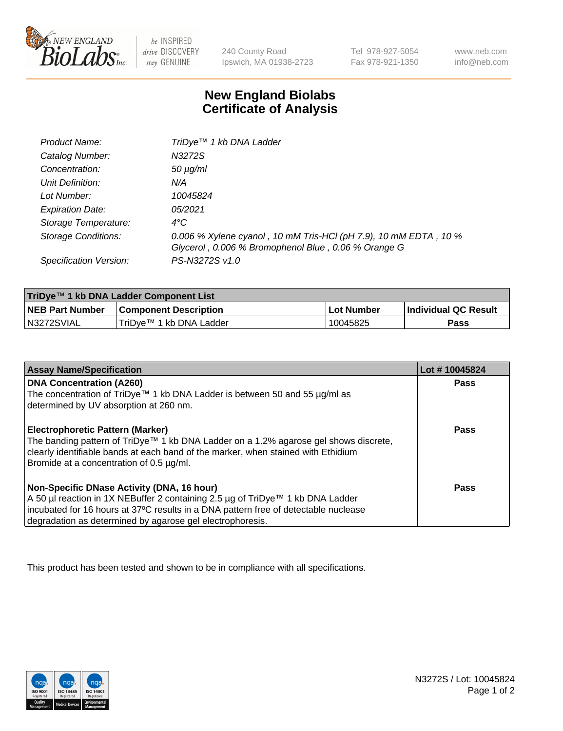

 $be$  INSPIRED drive DISCOVERY stay GENUINE

240 County Road Ipswich, MA 01938-2723 Tel 978-927-5054 Fax 978-921-1350 www.neb.com info@neb.com

## **New England Biolabs Certificate of Analysis**

| Product Name:                 | TriDye <sup>™</sup> 1 kb DNA Ladder                                                                                     |
|-------------------------------|-------------------------------------------------------------------------------------------------------------------------|
| Catalog Number:               | N3272S                                                                                                                  |
| Concentration:                | $50 \mu g/ml$                                                                                                           |
| Unit Definition:              | N/A                                                                                                                     |
| Lot Number:                   | 10045824                                                                                                                |
| <b>Expiration Date:</b>       | 05/2021                                                                                                                 |
| Storage Temperature:          | $4^{\circ}C$                                                                                                            |
| Storage Conditions:           | 0.006 % Xylene cyanol, 10 mM Tris-HCl (pH 7.9), 10 mM EDTA, 10 %<br>Glycerol, 0.006 % Bromophenol Blue, 0.06 % Orange G |
| <b>Specification Version:</b> | PS-N3272S v1.0                                                                                                          |

| TriDye™ 1 kb DNA Ladder Component List |                              |            |                             |  |
|----------------------------------------|------------------------------|------------|-----------------------------|--|
| <b>NEB Part Number</b>                 | <b>Component Description</b> | Lot Number | <b>Individual QC Result</b> |  |
| N3272SVIAL                             | TriDve™ 1 kb DNA Ladder      | 10045825   | Pass                        |  |

| <b>Assay Name/Specification</b>                                                                                               | Lot #10045824 |
|-------------------------------------------------------------------------------------------------------------------------------|---------------|
| <b>DNA Concentration (A260)</b>                                                                                               | <b>Pass</b>   |
| The concentration of TriDye <sup>TM</sup> 1 kb DNA Ladder is between 50 and 55 $\mu$ g/ml as                                  |               |
| determined by UV absorption at 260 nm.                                                                                        |               |
| <b>Electrophoretic Pattern (Marker)</b>                                                                                       | Pass          |
| The banding pattern of TriDye™ 1 kb DNA Ladder on a 1.2% agarose gel shows discrete,                                          |               |
| clearly identifiable bands at each band of the marker, when stained with Ethidium<br>Bromide at a concentration of 0.5 µg/ml. |               |
|                                                                                                                               |               |
| Non-Specific DNase Activity (DNA, 16 hour)                                                                                    | Pass          |
| A 50 µl reaction in 1X NEBuffer 2 containing 2.5 µg of TriDye™ 1 kb DNA Ladder                                                |               |
| incubated for 16 hours at 37°C results in a DNA pattern free of detectable nuclease                                           |               |
| degradation as determined by agarose gel electrophoresis.                                                                     |               |

This product has been tested and shown to be in compliance with all specifications.